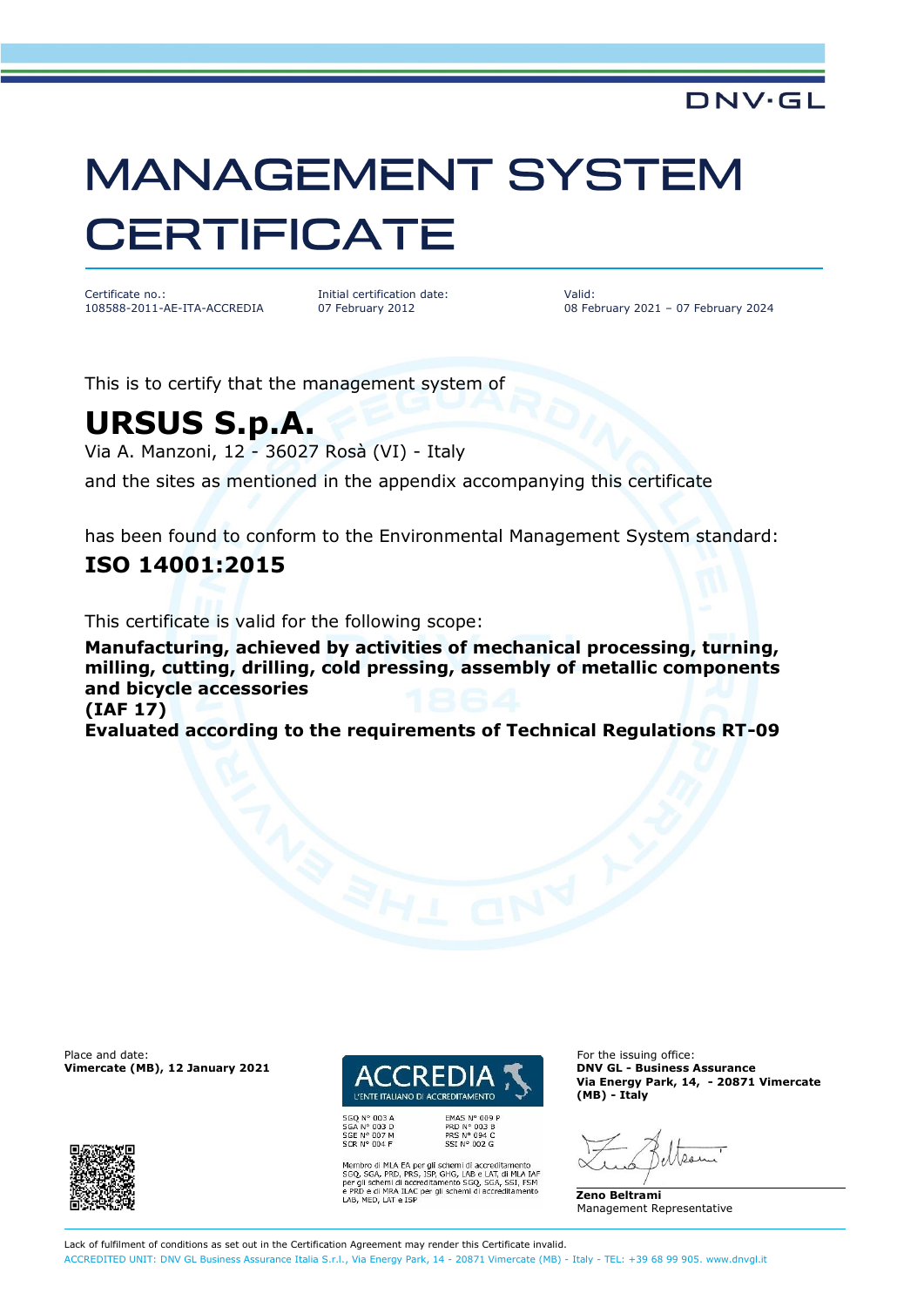# **MANAGEMENT SYSTEM CERTIFICATE**

Certificate no.: 108588-2011-AE-ITA-ACCREDIA Initial certification date: 07 February 2012

Valid: 08 February 2021 – 07 February 2024

**DNV·GL** 

This is to certify that the management system of

## **URSUS S.p.A.**

Via A. Manzoni, 12 - 36027 Rosà (VI) - Italy

and the sites as mentioned in the appendix accompanying this certificate

has been found to conform to the Environmental Management System standard:

### **ISO 14001:2015**

This certificate is valid for the following scope:

**Manufacturing, achieved by activities of mechanical processing, turning, milling, cutting, drilling, cold pressing, assembly of metallic components and bicycle accessories (IAF 17)**

**Evaluated according to the requirements of Technical Regulations RT-09**

Place and date: For the issuing office: **Vimercate (MB), 12 January 2021** 





SGQ N° 003 A<br>SGA N° 003 D<br>SGE N° 007 M<br>SCR N° 004 F

FMAS Nº 009 P PRD N° 003 B<br>PRS N° 094 C<br>SSI N° 002 G

Membro di MLA EA per gli schemi di accreditamento<br>SGQ, SGA, PRD, PRS, ISP, GHG, LAB e LAT, di MLA IAF<br>per gli schemi di accreditamento SGQ, SGA, SSI, FSM<br>e PRD e di MRA ILAC per gli schemi di accreditamento LAB, MED, LAT e ISP

**Via Energy Park, 14, - 20871 Vimercate (MB) - Italy**

 $0.91$ 

**Zeno Beltrami** Management Representative